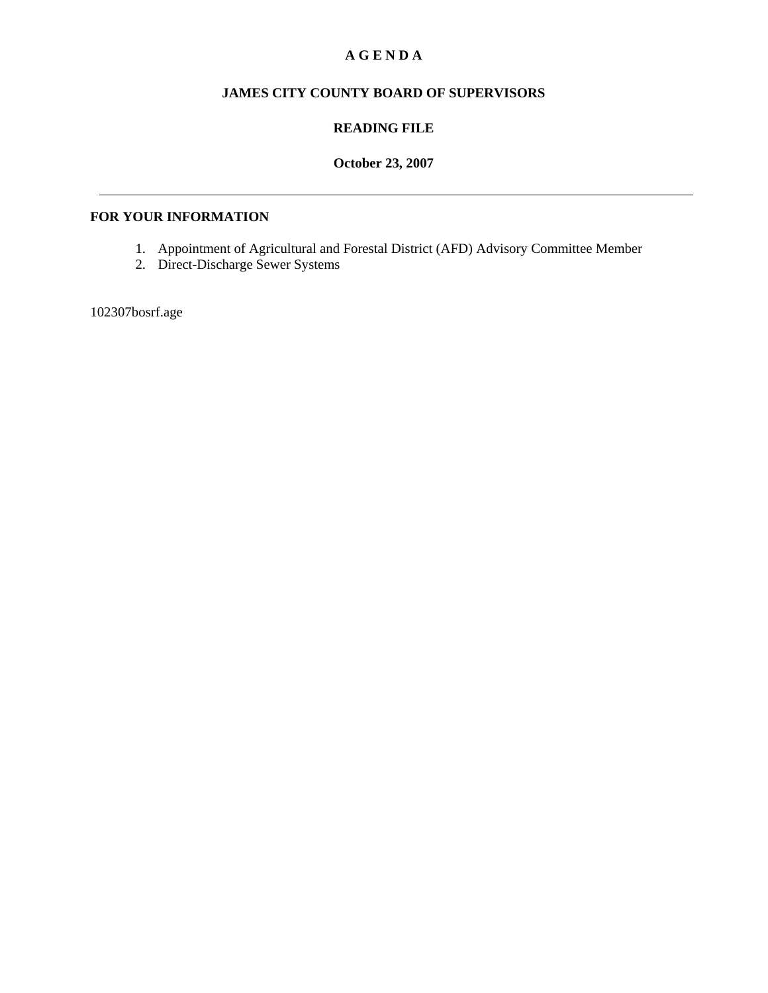# **A G E N D A**

# **JAMES CITY COUNTY BOARD OF SUPERVISORS**

### **READING FILE**

## **October 23, 2007**

### **FOR YOUR INFORMATION**

- 1. Appointment of Agricultural and Forestal District (AFD) Advisory Committee Member
- 2. Direct-Discharge Sewer Systems

102307bosrf.age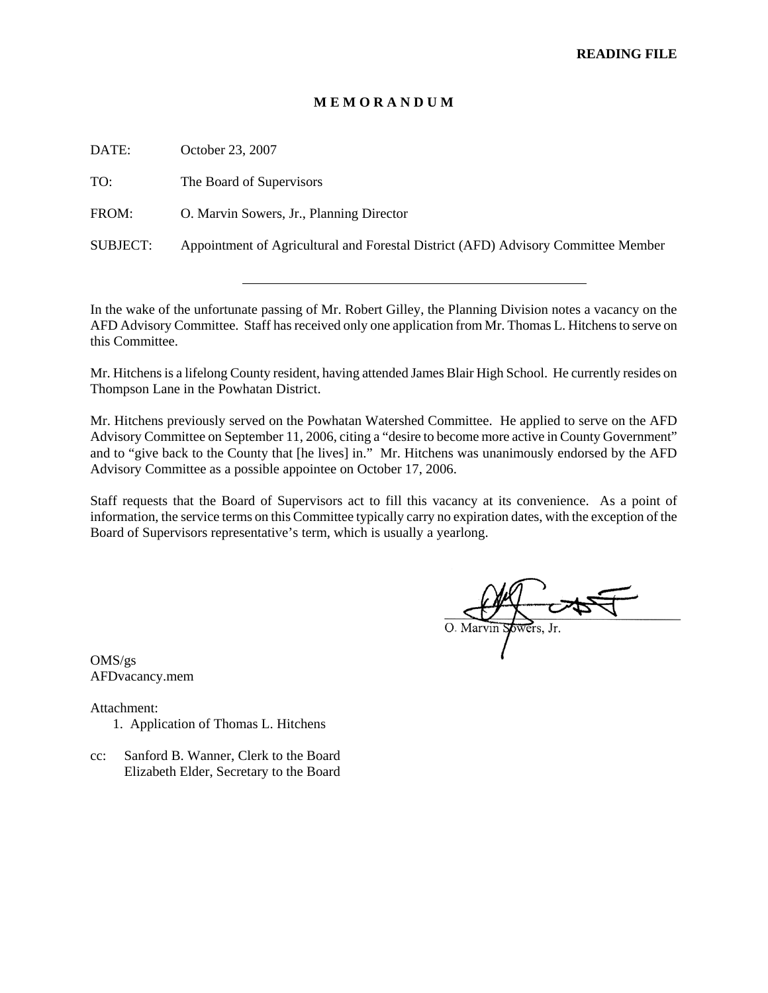#### **M E M O R A N D U M**

| DATE:           | October 23, 2007                                                                  |
|-----------------|-----------------------------------------------------------------------------------|
| TO:             | The Board of Supervisors                                                          |
| FROM:           | O. Marvin Sowers, Jr., Planning Director                                          |
| <b>SUBJECT:</b> | Appointment of Agricultural and Forestal District (AFD) Advisory Committee Member |
|                 |                                                                                   |

In the wake of the unfortunate passing of Mr. Robert Gilley, the Planning Division notes a vacancy on the AFD Advisory Committee. Staff has received only one application from Mr. Thomas L. Hitchens to serve on this Committee.

Mr. Hitchens is a lifelong County resident, having attended James Blair High School. He currently resides on Thompson Lane in the Powhatan District.

Mr. Hitchens previously served on the Powhatan Watershed Committee. He applied to serve on the AFD Advisory Committee on September 11, 2006, citing a "desire to become more active in County Government" and to "give back to the County that [he lives] in." Mr. Hitchens was unanimously endorsed by the AFD Advisory Committee as a possible appointee on October 17, 2006.

Staff requests that the Board of Supervisors act to fill this vacancy at its convenience. As a point of information, the service terms on this Committee typically carry no expiration dates, with the exception of the Board of Supervisors representative's term, which is usually a yearlong.

O. Marvin Spwers, Jr.

OMS/gs AFDvacancy.mem

Attachment:

1. Application of Thomas L. Hitchens

l

cc: Sanford B. Wanner, Clerk to the Board Elizabeth Elder, Secretary to the Board